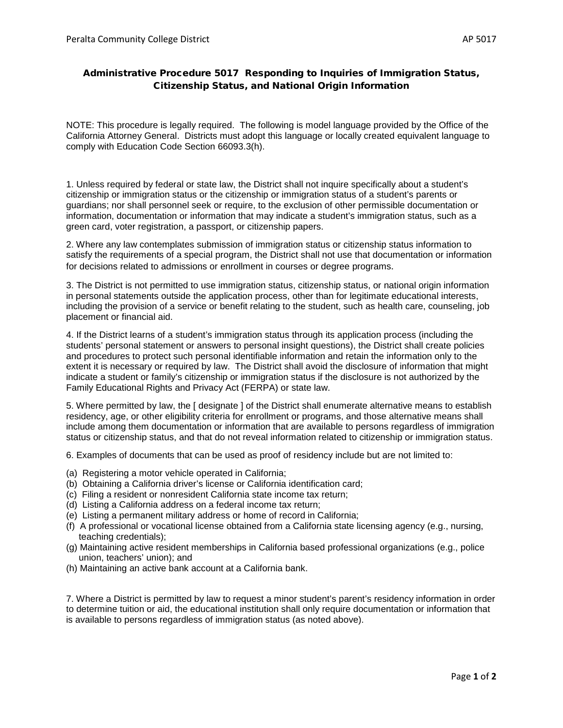## Administrative Procedure 5017 Responding to Inquiries of Immigration Status, Citizenship Status, and National Origin Information

NOTE: This procedure is legally required. The following is model language provided by the Office of the California Attorney General. Districts must adopt this language or locally created equivalent language to comply with Education Code Section 66093.3(h).

1. Unless required by federal or state law, the District shall not inquire specifically about a student's citizenship or immigration status or the citizenship or immigration status of a student's parents or guardians; nor shall personnel seek or require, to the exclusion of other permissible documentation or information, documentation or information that may indicate a student's immigration status, such as a green card, voter registration, a passport, or citizenship papers.

2. Where any law contemplates submission of immigration status or citizenship status information to satisfy the requirements of a special program, the District shall not use that documentation or information for decisions related to admissions or enrollment in courses or degree programs.

3. The District is not permitted to use immigration status, citizenship status, or national origin information in personal statements outside the application process, other than for legitimate educational interests, including the provision of a service or benefit relating to the student, such as health care, counseling, job placement or financial aid.

4. If the District learns of a student's immigration status through its application process (including the students' personal statement or answers to personal insight questions), the District shall create policies and procedures to protect such personal identifiable information and retain the information only to the extent it is necessary or required by law. The District shall avoid the disclosure of information that might indicate a student or family's citizenship or immigration status if the disclosure is not authorized by the Family Educational Rights and Privacy Act (FERPA) or state law.

5. Where permitted by law, the [ designate ] of the District shall enumerate alternative means to establish residency, age, or other eligibility criteria for enrollment or programs, and those alternative means shall include among them documentation or information that are available to persons regardless of immigration status or citizenship status, and that do not reveal information related to citizenship or immigration status.

6. Examples of documents that can be used as proof of residency include but are not limited to:

- (a) Registering a motor vehicle operated in California;
- (b) Obtaining a California driver's license or California identification card;
- (c) Filing a resident or nonresident California state income tax return;
- (d) Listing a California address on a federal income tax return;
- (e) Listing a permanent military address or home of record in California;
- (f) A professional or vocational license obtained from a California state licensing agency (e.g., nursing, teaching credentials);
- (g) Maintaining active resident memberships in California based professional organizations (e.g., police union, teachers' union); and
- (h) Maintaining an active bank account at a California bank.

7. Where a District is permitted by law to request a minor student's parent's residency information in order to determine tuition or aid, the educational institution shall only require documentation or information that is available to persons regardless of immigration status (as noted above).